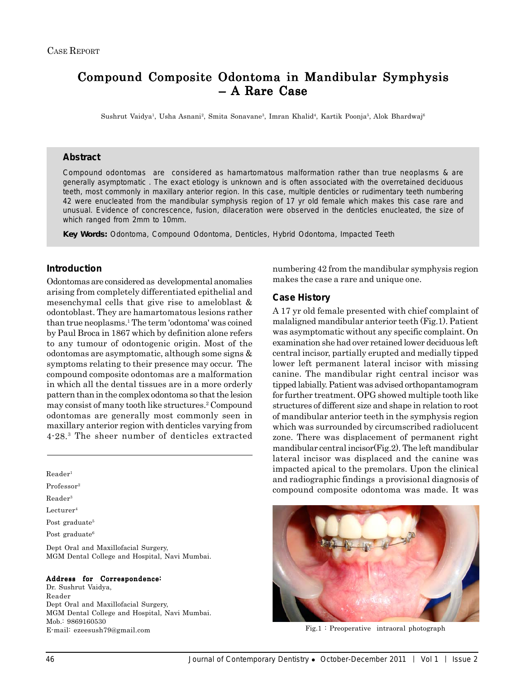# Compound Composite Odontoma in Mandibular Symphysis – A Rare Case

Sushrut Vaidya<sup>1</sup>, Usha Asnani<sup>2</sup>, Smita Sonavane<sup>3</sup>, Imran Khalid<sup>4</sup>, Kartik Poonja<sup>5</sup>, Alok Bhardwaj<sup>6</sup>

### **Abstract**

Compound odontomas are considered as hamartomatous malformation rather than true neoplasms & are generally asymptomatic . The exact etiology is unknown and is often associated with the overretained deciduous teeth, most commonly in maxillary anterior region. In this case, multiple denticles or rudimentary teeth numbering 42 were enucleated from the mandibular symphysis region of 17 yr old female which makes this case rare and unusual. Evidence of concrescence, fusion, dilaceration were observed in the denticles enucleated, the size of which ranged from 2mm to 10mm.

*Key Words:* Odontoma, Compound Odontoma, Denticles, Hybrid Odontoma, Impacted Teeth

# **Introduction**

Odontomas are considered as developmental anomalies arising from completely differentiated epithelial and mesenchymal cells that give rise to ameloblast & odontoblast. They are hamartomatous lesions rather than true neoplasms.1 The term 'odontoma' was coined by Paul Broca in 1867 which by definition alone refers to any tumour of odontogenic origin. Most of the odontomas are asymptomatic, although some signs & symptoms relating to their presence may occur. The compound composite odontomas are a malformation in which all the dental tissues are in a more orderly pattern than in the complex odontoma so that the lesion may consist of many tooth like structures.2 Compound odontomas are generally most commonly seen in maxillary anterior region with denticles varying from 4-28.3 The sheer number of denticles extracted

Reader1

Professor2

Reader3

Lecturer4

Post graduate<sup>5</sup>

Post graduate<sup>6</sup>

Dept Oral and Maxillofacial Surgery, MGM Dental College and Hospital, Navi Mumbai.

#### Address for Correspondence:

Dr. Sushrut Vaidya, Reader Dept Oral and Maxillofacial Surgery, MGM Dental College and Hospital, Navi Mumbai. Mob.: 9869160530 E-mail: ezeesush79@gmail.com Fig.1 : Preoperative intraoral photograph

numbering 42 from the mandibular symphysis region makes the case a rare and unique one.

### **Case History**

A 17 yr old female presented with chief complaint of malaligned mandibular anterior teeth (Fig.1). Patient was asymptomatic without any specific complaint. On examination she had over retained lower deciduous left central incisor, partially erupted and medially tipped lower left permanent lateral incisor with missing canine. The mandibular right central incisor was tipped labially. Patient was advised orthopantamogram for further treatment. OPG showed multiple tooth like structures of different size and shape in relation to root of mandibular anterior teeth in the symphysis region which was surrounded by circumscribed radiolucent zone. There was displacement of permanent right mandibular central incisor(Fig.2). The left mandibular lateral incisor was displaced and the canine was impacted apical to the premolars. Upon the clinical and radiographic findings a provisional diagnosis of compound composite odontoma was made. It was

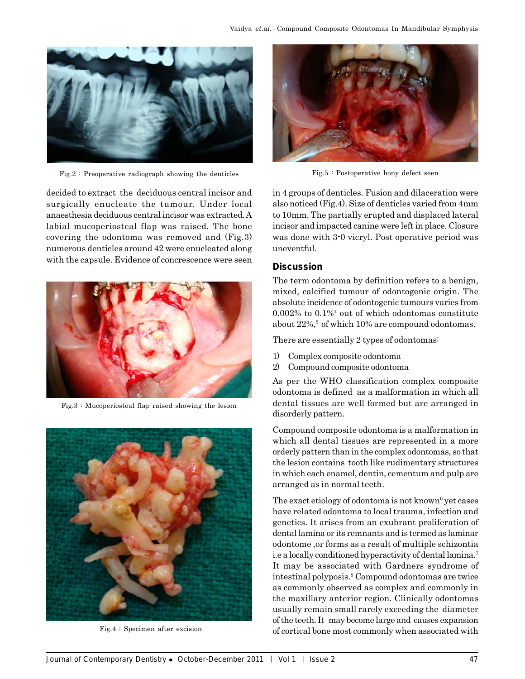

Fig.2 : Preoperative radiograph showing the denticles

decided to extract the deciduous central incisor and surgically enucleate the tumour. Under local anaesthesia deciduous central incisor was extracted. A labial mucoperiosteal flap was raised. The bone covering the odontoma was removed and (Fig.3) numerous denticles around 42 were enucleated along with the capsule. Evidence of concrescence were seen



Fig.3 : Mucoperiosteal flap raised showing the lesion



Fig.4 : Specimen after excision



Fig.5 : Postoperative bony defect seen

in 4 groups of denticles. Fusion and dilaceration were also noticed (Fig.4). Size of denticles varied from 4mm to 10mm. The partially erupted and displaced lateral incisor and impacted canine were left in place. Closure was done with 3-0 vicryl. Post operative period was uneventful.

## **Discussion**

The term odontoma by definition refers to a benign, mixed, calcified tumour of odontogenic origin. The absolute incidence of odontogenic tumours varies from 0.002% to 0.1%<sup>4</sup> out of which odontomas constitute about 22%,<sup>5</sup> of which 10% are compound odontomas.

There are essentially 2 types of odontomas:

- 1) Complex composite odontoma
- 2) Compound composite odontoma

As per the WHO classification complex composite odontoma is defined as a malformation in which all dental tissues are well formed but are arranged in disorderly pattern.

Compound composite odontoma is a malformation in which all dental tissues are represented in a more orderly pattern than in the complex odontomas, so that the lesion contains tooth like rudimentary structures in which each enamel, dentin, cementum and pulp are arranged as in normal teeth.

The exact etiology of odontoma is not known<sup>6</sup> yet cases have related odontoma to local trauma, infection and genetics. It arises from an exubrant proliferation of dental lamina or its remnants and is termed as laminar odontome ,or forms as a result of multiple schizontia i.e a locally conditioned hyperactivity of dental lamina.7 It may be associated with Gardners syndrome of intestinal polyposis.8 Compound odontomas are twice as commonly observed as complex and commonly in the maxillary anterior region. Clinically odontomas usually remain small rarely exceeding the diameter of the teeth. It may become large and causes expansion of cortical bone most commonly when associated with